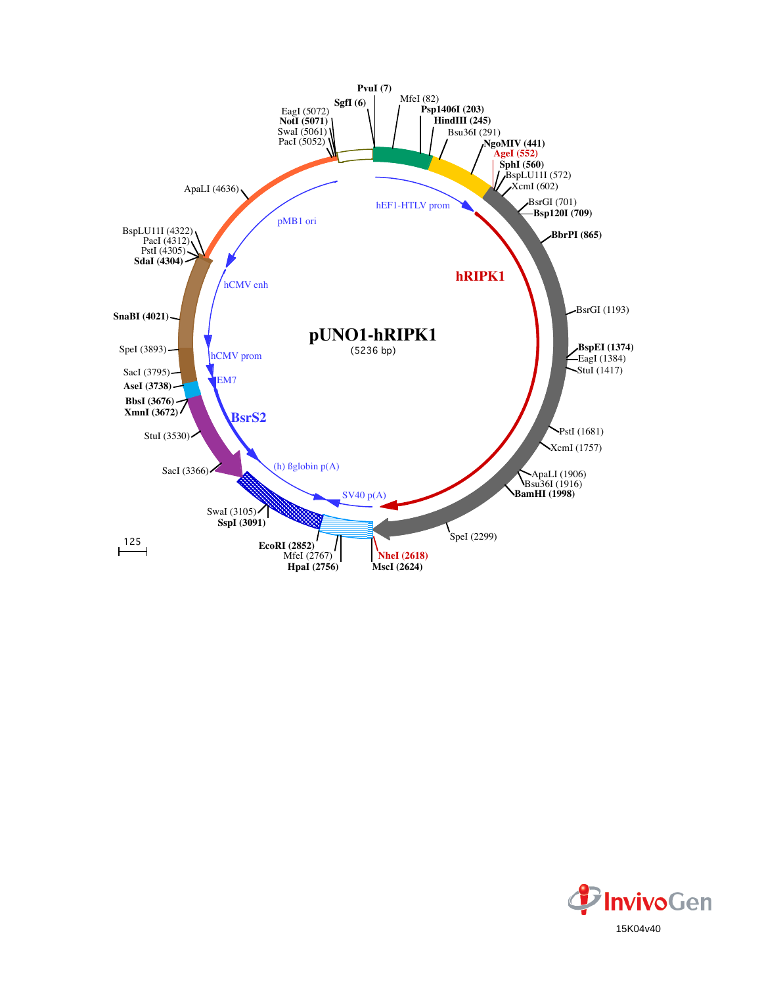

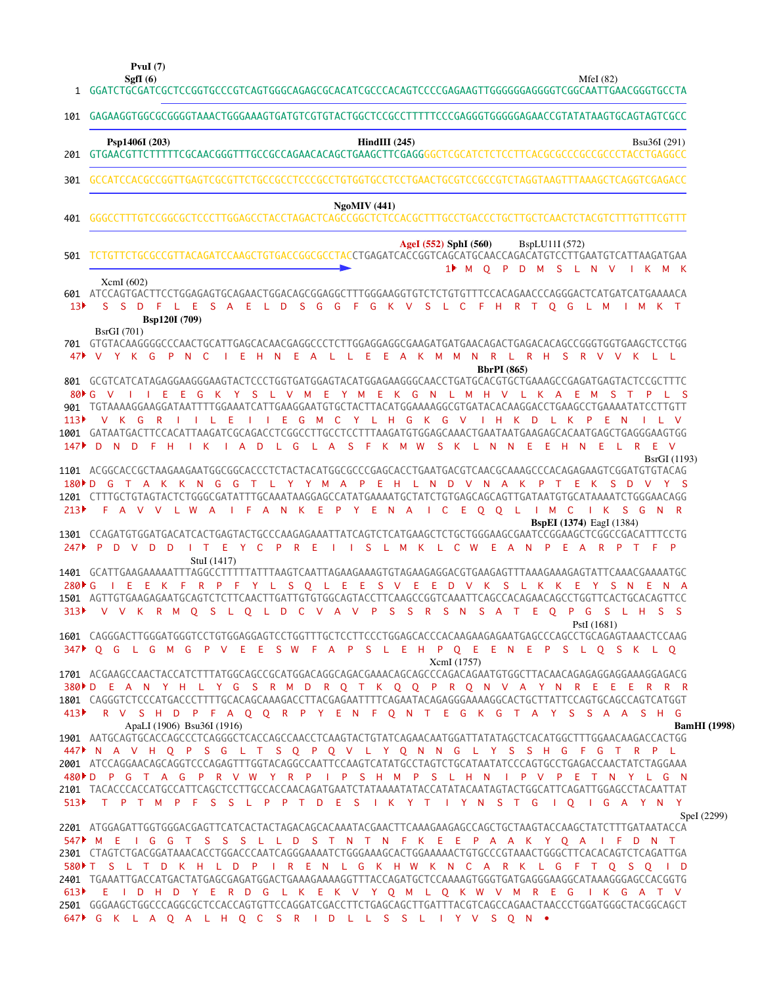**PvuI (7)**

**SgfI (6)** MfeI (82)

| $\mathbf{1}$                          |                                                                                                                                                                                                                                                                                                                                                                                                                                                                                                                                                                                                                                                                                                                                                                                                                                              |
|---------------------------------------|----------------------------------------------------------------------------------------------------------------------------------------------------------------------------------------------------------------------------------------------------------------------------------------------------------------------------------------------------------------------------------------------------------------------------------------------------------------------------------------------------------------------------------------------------------------------------------------------------------------------------------------------------------------------------------------------------------------------------------------------------------------------------------------------------------------------------------------------|
| 101                                   | GAGAAGGTGGCGCGGGGTAAACTGGGAAAGTGATGTCGTGTACTGGCTCCGCCTTTTTCCCGAGGGTGGGGGAGAACCGTATATAAGTGCAGTAGTCGCC                                                                                                                                                                                                                                                                                                                                                                                                                                                                                                                                                                                                                                                                                                                                         |
| 201                                   | Psp1406I (203)<br>HindIII $(245)$<br>Bsu36I (291)                                                                                                                                                                                                                                                                                                                                                                                                                                                                                                                                                                                                                                                                                                                                                                                            |
| 301                                   | GCCATCCACGCCGGTTGAGTCGCGTTCTGCCGCCTCCCGGCCTGTGGTGCCTCCTGAACTGCGTCCGCCGTCTAGGTAAGTTTAAAGCTCAGGTCGAGACC                                                                                                                                                                                                                                                                                                                                                                                                                                                                                                                                                                                                                                                                                                                                        |
| 401                                   | <b>NgoMIV</b> (441)                                                                                                                                                                                                                                                                                                                                                                                                                                                                                                                                                                                                                                                                                                                                                                                                                          |
| 501                                   | AgeI (552) SphI (560)<br>BspLU11I (572)<br>TCTGTTCTGCGCCGTTACAGATCCAAGCTGTGACCGGCGCCTACCTGAGATCACCGGTCAGCATGCAACCAGACATGTCCTTGAATGTCATTAAGATGAA<br>1 <sup>M</sup> O P D M S L N V<br>IKMK                                                                                                                                                                                                                                                                                                                                                                                                                                                                                                                                                                                                                                                    |
| 601<br>13 <sup>5</sup>                | XcmI(602)<br>ATCCAGTGACTTCCTGGAGAGTGCAGAACTGGACAGCGGAGGCTTTTGGGAAGGTGTCTCTGTGTTTCCACAGAACCCAGGGACTCATGATCATGAAAACA<br>F G K V S L C F H R T<br>S D<br>F L E S A E L D S G G<br>S.<br>Q G L M<br>M K T<br>Bsp120I (709)                                                                                                                                                                                                                                                                                                                                                                                                                                                                                                                                                                                                                       |
| 47▶                                   | <b>BsrGI</b> (701)<br>701 GTGTACAAGGGGCCCAACTGCATTGAGCACAACGAGGCCCTCTTGGAGGAGGCGAAGATGATGAACAGACTGAGACACAGCCGGGTGGTGAAGCTCCTGG<br>Ε<br>K M<br><b>M</b><br>L R H S R V V K L L<br>$\vee$<br>Y K<br>G<br>P<br>C<br>Ε<br>- H<br>N<br>Ε<br>- A<br>E.<br>$\overline{A}$<br>$\mathbb N$<br>R<br>N.<br>L<br>L<br><b>BbrPI</b> (865)                                                                                                                                                                                                                                                                                                                                                                                                                                                                                                                 |
| $80 \text{ F}$ G<br>113<br>147        | 801 GCGTCATCATAGAGGAAGGGAAGTACTCCCTGGTGATGGAGTACATGGAGAAGGGCAACCTGATGCACGTGCTGAAAGCCGAGATGAGTACTCCGCTTTC<br>H V L K A<br>Ε<br>G<br>K<br>Y<br><sub>S</sub><br>$\mathsf{I}$ V<br>M<br>Y M E K G N L<br>M.<br>E<br>901 TGTAAAAGGAAGGATAATTTTGGAAATCATTGAAGGAATGTGCTACTTACATGGAAAAGGCGTGATACACAAGGACCTGAAGCCTGAAAATATCCTTGTT<br>V K G<br>$\overline{R}$<br>- E<br>- E<br>$-$ G<br>M C Y L H G<br>K G V<br>$\mathsf{H}$ $\mathsf{K}$<br>D<br>Ε<br><b>COLLA</b><br>K<br>P<br><b>N</b><br>$\mathsf{I}$ V<br>1001 GATAATGACTTCCACATTAAGATCGCAGACCTCGGCCTTGCCTCTTTAAGATGTGGAGCAAACTGAATAATGAAGAGCACAATGAGCTGAGGGAAGTGG<br>A D<br>L G<br>L A<br><sub>S</sub><br>M<br><b>W</b><br><sub>S</sub><br>- K<br>L N<br>H<br>Ε<br>$\overline{R}$<br>- E<br>$\vee$<br>D.<br><b>N</b><br>D.<br>н<br>K<br>-F<br>K<br>N<br>F<br>Ε<br><b>N</b><br>L.<br>$\mathbf{1}$ |
| $180 \triangleright D$<br>213         | <b>BsrGI</b> (1193)<br>1101 ACGGCACCGCTAAGAAGAATGGCGGCACCCTCTACTACATGGCGCCCGAGCACCTGAATGACGTCAACGCAAAGCCCACAGAGAAGTCGGATGTGTACAG<br>N.<br>G<br>G<br>LY Y<br>M<br>$\mathsf{A}$<br>P<br>Ε<br>- H<br>N.<br>DVNA<br>- D<br>K<br>T.<br>к<br>P<br>1201 CTTTGCTGTAGTACTCTGGGCGATATTTGCAAATAAGGAGCCATATGAAAATGCTATCTGTGAGCAGCAGTTGATAATGTGCATAAAATCTGGGAACAGG<br>F.<br>A V V<br>L W<br>$\Box$ F<br>A N<br>-K<br>Ε<br>$\mathsf{P}$<br>Y E<br>C.<br>E O<br>Q<br>IMCIK<br>S G N R<br>A<br>-N<br>$\mathsf{A}$<br>- L<br>- 11                                                                                                                                                                                                                                                                                                                             |
| 247                                   | <b>BspEI</b> (1374) EagI (1384)<br>1301 CCAGATGTGGATGACATCACTGAGTACTGCCCAAGAGAAATTATCAGTCTCATGAAGCTCTGCTGGGAAGCGAATCCGGAAGCTCGGCCGACATTTCCTG<br>P<br>E Y C<br>P.<br>$R$ E<br><sub>S</sub><br>L M<br>K L C<br><b>W</b><br>- E<br>$\overline{A}$<br>N<br>$\mathsf{P}$<br>Æ.<br>-R<br>$\mathsf{P}$<br>D<br>V<br>D<br>- D<br>A<br>P<br>$\top$<br>- F<br>$\top$<br>$\sim$ 1.<br>$\mathbf{1}$                                                                                                                                                                                                                                                                                                                                                                                                                                                      |
| $280 \text{ F G}$<br>313 <sup>2</sup> | StuI (1417)<br>Ε<br>F.<br>R P F<br>Y L<br>S.<br>Q L<br>E.<br>E.<br>S V<br>Ε<br>Ε<br>D<br>S<br>K.<br>S.<br>N A<br>E<br>K<br>$\vee$<br>К<br>L<br>K<br>E.<br>Y<br>Ε<br>1501 AGTTGTGAAGAGAATGCAGTCTCTTCAACTTGATTGTGTGGCAGTACCTTCAAGCCGGTCAAATTCAGCCACAGAACAGCCTGGTTCACTGCACAGTTCC<br><b>S</b><br>R<br>S.<br>S A T<br>E.<br>$\overline{O}$<br>$\mathsf{P}$<br>G<br><sub>S</sub><br>V V K R M O S L O L D C V A V P<br><b>S</b><br>N<br>L H<br>S S                                                                                                                                                                                                                                                                                                                                                                                                 |
|                                       | PstI (1681)<br>1601 CAGGGACTTGGGATGGGTCCTGTGGAGGAGTCCTGGTTTGCTCCTTCCCTGGAGCACCCACAAGAAGAAGAATGAGCCCAGCCTGCAGAGTAAACTCCAAG<br>347 PQG LGMGPV EESW FAPS LEHPQEEN EPS LQSK LQ<br>XcmI (1757)                                                                                                                                                                                                                                                                                                                                                                                                                                                                                                                                                                                                                                                    |
|                                       | 380 PD EAN Y H L Y G S R M D R Q T K Q Q P R Q N V A Y N R E E E R R R<br>1801 CAGGGTCTCCCATGACCCTTTTGCACAGCAAAGACCTTACGAGAATTTTCAGAATACAGAGGGAAAAGGCACTGCTTATTCCAGTGCAGCCAGTCATGGT<br>413 A R V S H D P F A Q Q R P Y E N F Q N T E G K G T A Y S S A A S H G                                                                                                                                                                                                                                                                                                                                                                                                                                                                                                                                                                               |
|                                       | ApaLI (1906) Bsu36I (1916)<br><b>BamHI</b> (1998)<br>1901 AATGCAGTGCACCAGCCCTCAGGGCTCACCAGCCAACCTCAAGTACTGTATCAGAACAATGGATTATATAGCTCACATGGCTTTGGAACAAGACCACTGG<br>447 N A V H Q P S G L T S Q P Q V L Y Q N N G L Y S S H G F G T R P L<br>2001 ATCCAGGAACAGCAGGTCCCAGAGTTTGGTACAGGCCAATTCCAAGTCATATGCCTAGTCTGCATAATATCCCAGTGCCTGAGACCAACTATCTAGGAAA<br>480▶D P G T A G P R V W Y R P I P S H M P S L H N I P V P E T N Y L G N<br>2101 TACACCCACCATGCCATTCAGCTCCTTGCCACCAACAGATGAATCTATAAAATATACCATATACCAATAGTACTGGCATTCAGATTGGAGCCTACAATTAT<br>513• T P T M P F S S L P P T D E S I K Y T I Y N S T G I O I G A Y N Y                                                                                                                                                                                                                      |
|                                       | SpeI (2299)<br>2201 ATGGAGATTGGTGGGACGAGTTCATCACTACTAGACAGCACAAATACGAACTTCAAAGAAGACCCAGCTGCTAAGTACCAAGCTATCTTTGATAATACCA<br>547 M E I G G T S S S L L D S T N T N F K E E P A A K Y Q A I F D N T<br>2301 CTAGTCTGACGGATAAACACCTGGACCCAATCAGGGAAAATCTGGGAAAGCACTGGAAAAACTGTGCCCGTAAACTGGGCTTCACACAGTCTCAGATTGA<br>580▶T S L T D K H L D P I R E N L G K H W K N C A R K L G F T Q S Q I D<br>2401 TGAAATTGACCATGACTATGAGCGAGATGGACTGAAAGGAAAAGGTTTACCAGATGCTCCAAAAGTGGGTGATGAGGGAAGGCATAAAGGGAGCCACGGTG<br>613 E I D H D Y E R D G L K E K V Y Q M L Q K W V M R E G I K G A T V<br>2501 GGGAAGCTGGCCCAGGCGCTCCACCAGTGTTCCAGGATCGACCTTCTGAGCAGCTTGATTTACGTCAGCCAGAACTAACCCTGGATGGGCTACGGCAGCT<br>647▶ G K L A Q A L H Q C S R I D L L S S L I Y V S Q N •                                                                                    |